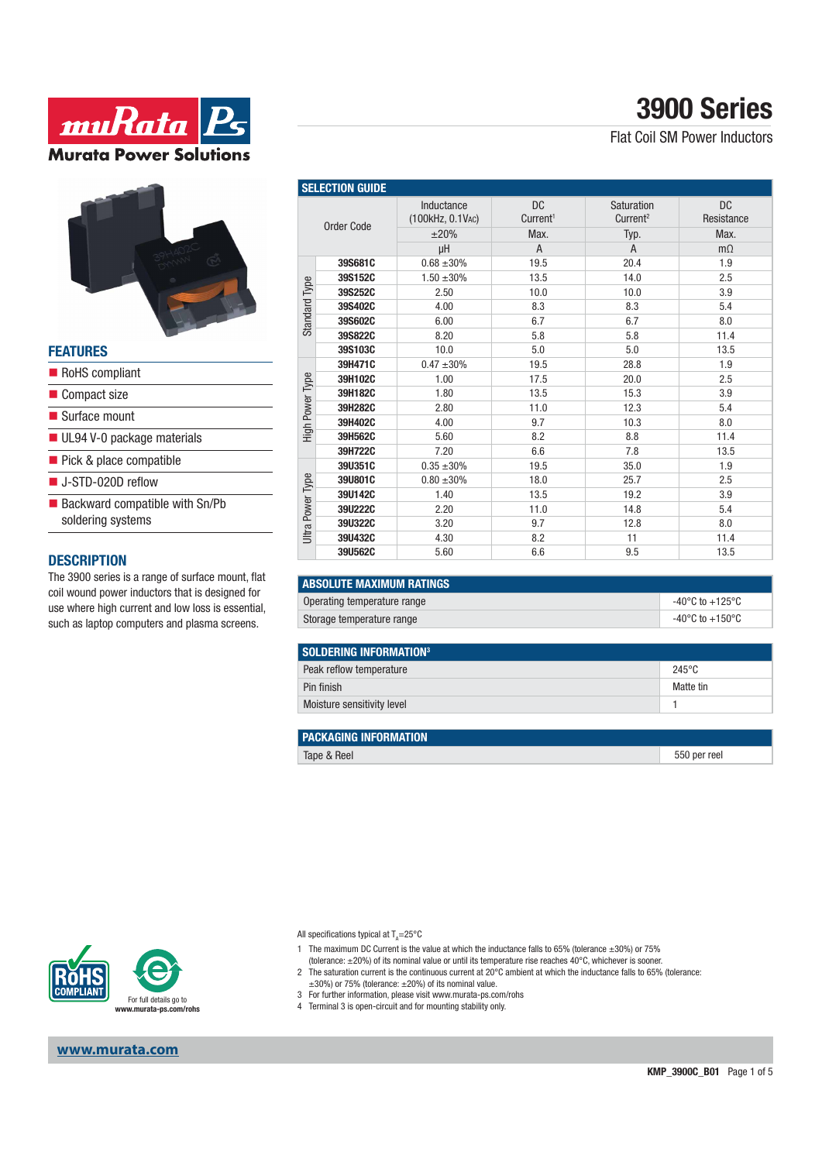



#### **FEATURES**

RoHS compliant Compact size ■ Surface mount UL94 V-0 package materials Pick & place compatible J-STD-020D reflow  $\blacksquare$  Backward compatible with Sn/Pb soldering systems

#### **DESCRIPTION**

The 3900 series is a range of surface mount, flat coil wound power inductors that is designed for use where high current and low loss is essential, such as laptop computers and plasma screens.

| <b>SELECTION GUIDE</b> |         |                                |                                   |                                    |                         |  |  |
|------------------------|---------|--------------------------------|-----------------------------------|------------------------------------|-------------------------|--|--|
| <b>Order Code</b>      |         | Inductance<br>(100kHz, 0.1VAC) | <b>DC</b><br>Current <sup>1</sup> | Saturation<br>Current <sup>2</sup> | <b>DC</b><br>Resistance |  |  |
|                        |         | ±20%                           | Max.                              | Typ.                               | Max.                    |  |  |
|                        |         | μH                             | A                                 | A                                  | $m\Omega$               |  |  |
| <b>Standard Type</b>   | 39S681C | $0.68 \pm 30\%$                | 19.5                              | 20.4                               | 1.9                     |  |  |
|                        | 39S152C | $1.50 \pm 30\%$                | 13.5                              | 14.0                               | 2.5                     |  |  |
|                        | 39S252C | 2.50                           | 10.0                              | 10.0                               | 3.9                     |  |  |
|                        | 39S402C | 4.00                           | 8.3                               | 8.3                                | 5.4                     |  |  |
|                        | 39S602C | 6.00                           | 6.7                               | 6.7                                | 8.0                     |  |  |
|                        | 39S822C | 8.20                           | 5.8                               | 5.8                                | 11.4                    |  |  |
|                        | 39S103C | 10.0                           | 5.0                               | 5.0                                | 13.5                    |  |  |
| High Power Type        | 39H471C | $0.47 \pm 30\%$                | 19.5                              | 28.8                               | 1.9                     |  |  |
|                        | 39H102C | 1.00                           | 17.5                              | 20.0                               | 2.5                     |  |  |
|                        | 39H182C | 1.80                           | 13.5                              | 15.3                               | 3.9                     |  |  |
|                        | 39H282C | 2.80                           | 11.0                              | 12.3                               | 5.4                     |  |  |
|                        | 39H402C | 4.00                           | 9.7                               | 10.3                               | 8.0                     |  |  |
|                        | 39H562C | 5.60                           | 8.2                               | 8.8                                | 11.4                    |  |  |
|                        | 39H722C | 7.20                           | 6.6                               | 7.8                                | 13.5                    |  |  |
| Jitra Power Type       | 39U351C | $0.35 + 30%$                   | 19.5                              | 35.0                               | 1.9                     |  |  |
|                        | 39U801C | $0.80 \pm 30\%$                | 18.0                              | 25.7                               | 2.5                     |  |  |
|                        | 39U142C | 1.40                           | 13.5                              | 19.2                               | 3.9                     |  |  |
|                        | 39U222C | 2.20                           | 11.0                              | 14.8                               | 5.4                     |  |  |
|                        | 39U322C | 3.20                           | 9.7                               | 12.8                               | 8.0                     |  |  |
|                        | 39U432C | 4.30                           | 8.2                               | 11                                 | 11.4                    |  |  |
|                        | 39U562C | 5.60                           | 6.6                               | 9.5                                | 13.5                    |  |  |

| <b>ABSOLUTE MAXIMUM RATINGS</b> |                                     |  |  |  |
|---------------------------------|-------------------------------------|--|--|--|
| Operating temperature range     | $-40^{\circ}$ C to $+125^{\circ}$ C |  |  |  |
| Storage temperature range       | $-40^{\circ}$ C to $+150^{\circ}$ C |  |  |  |

| SOLDERING INFORMATION <sup>3</sup> |                 |  |  |
|------------------------------------|-----------------|--|--|
| Peak reflow temperature            | $245^{\circ}$ C |  |  |
| Pin finish                         | Matte tin       |  |  |
| Moisture sensitivity level         |                 |  |  |

| <b>PACKAGING INFORMATION</b> |              |
|------------------------------|--------------|
| Tape & Reel                  | 550 per reel |



**www.murata.com**

All specifications typical at T<sub>A</sub>=25°C

- 1 The maximum DC Current is the value at which the inductance falls to 65% (tolerance ±30%) or 75% (tolerance: ±20%) of its nominal value or until its temperature rise reaches 40°C, whichever is sooner.
- 2 The saturation current is the continuous current at 20°C ambient at which the inductance falls to 65% (tolerance:  $\pm 30$ %) or 75% (tolerance:  $\pm 20$ %) of its nominal value.
- 3 For further information, please visit www.murata-ps.com/rohs
- 4 Terminal 3 is open-circuit and for mounting stability only.

# **3900 Series**

Flat Coil SM Power Inductors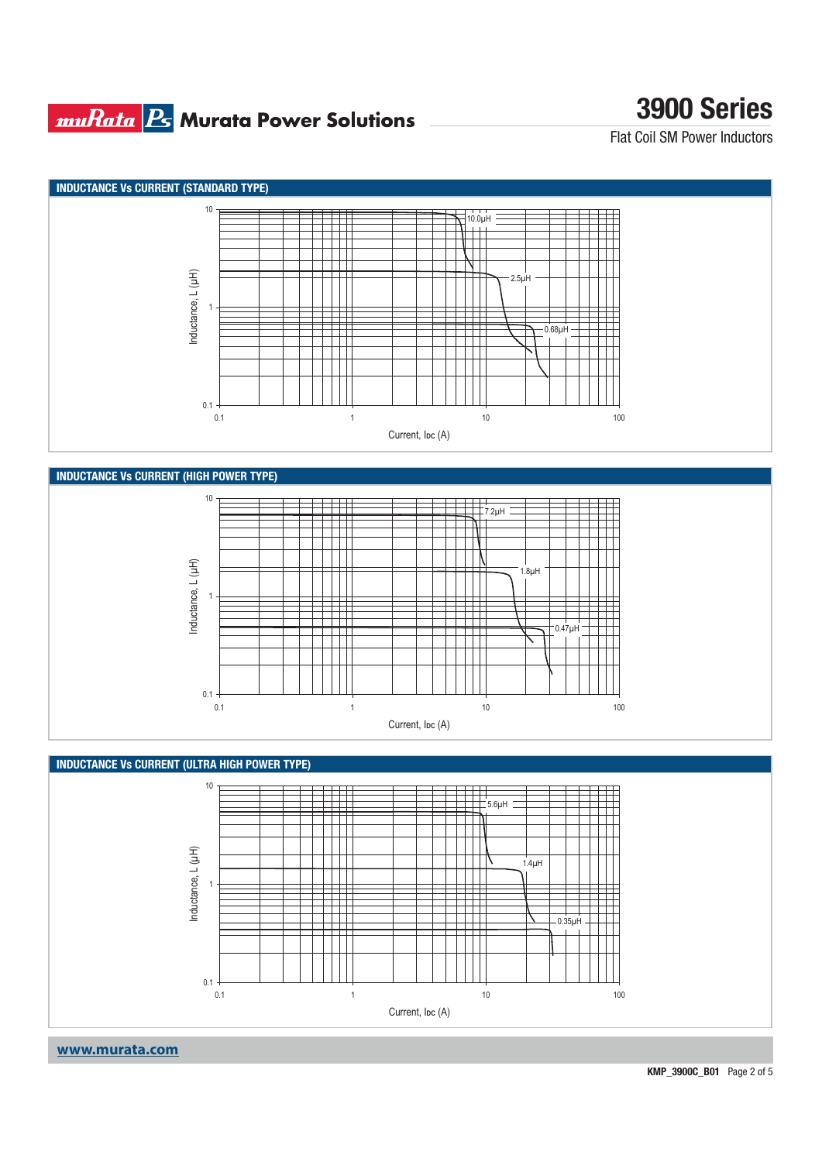### **muRata Bs** Murata Power Solutions

# **3900 Series**

Flat Coil SM Power Inductors





### **www.murata.com**

**KMP\_3900C\_B01** Page 2 of 5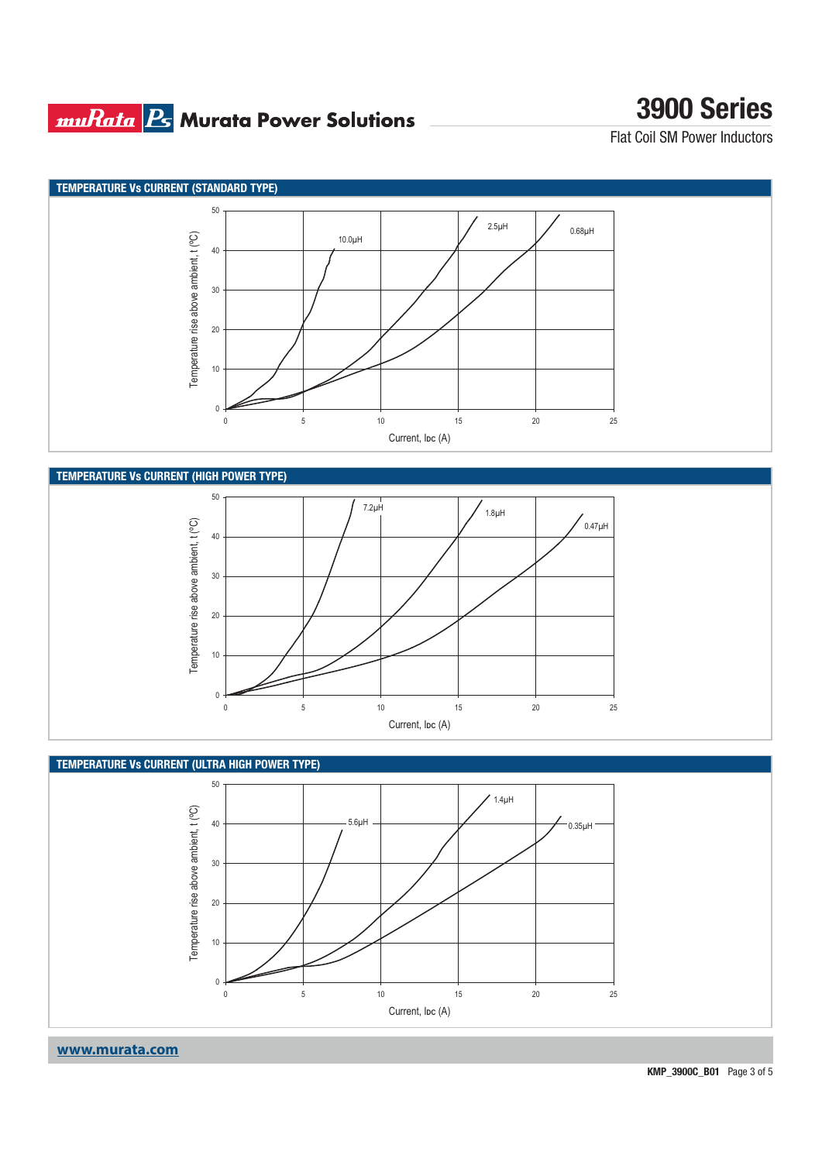### **muRata B** Murata Power Solutions

# **3900 Series**

Flat Coil SM Power Inductors





0

10

20



0 5 10 15 20 25 Current, I<sub>DC</sub> (A)

**www.murata.com**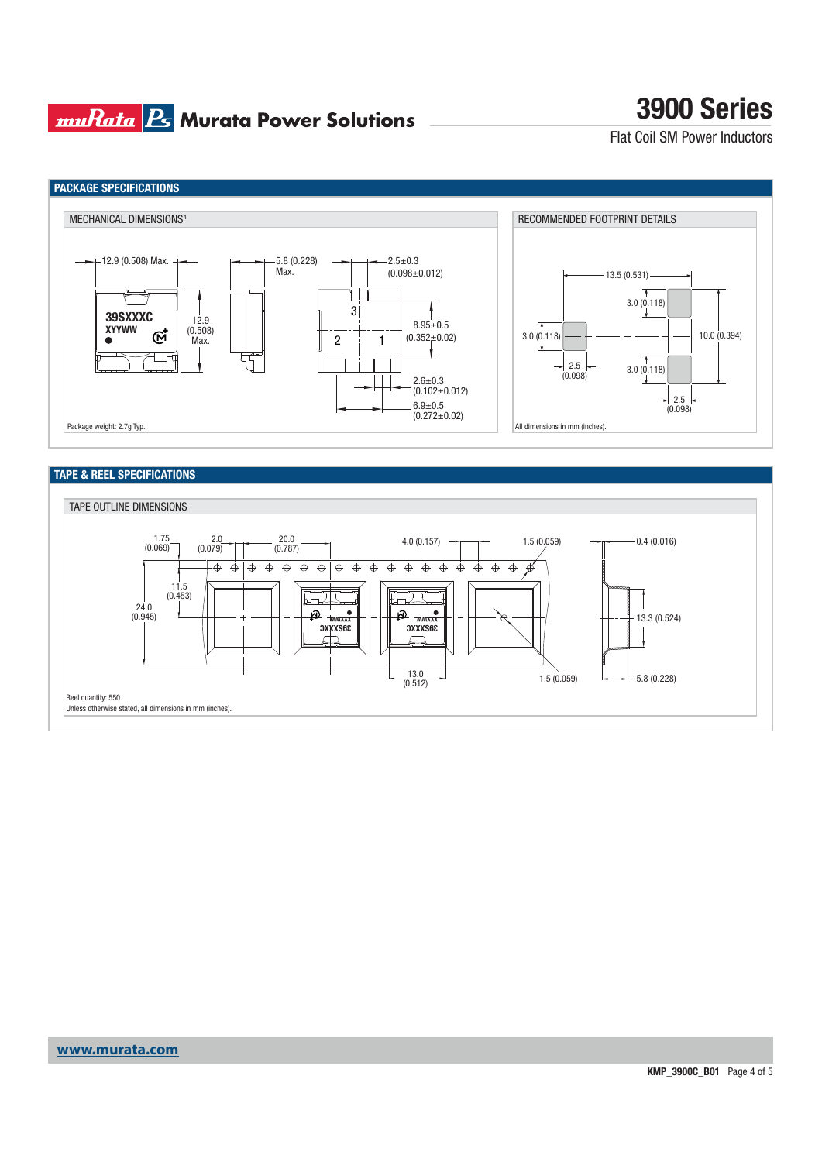### **muRata Ps** Murata Power Solutions

# **3900 Series**

Flat Coil SM Power Inductors



#### **TAPE & REEL SPECIFICATIONS**